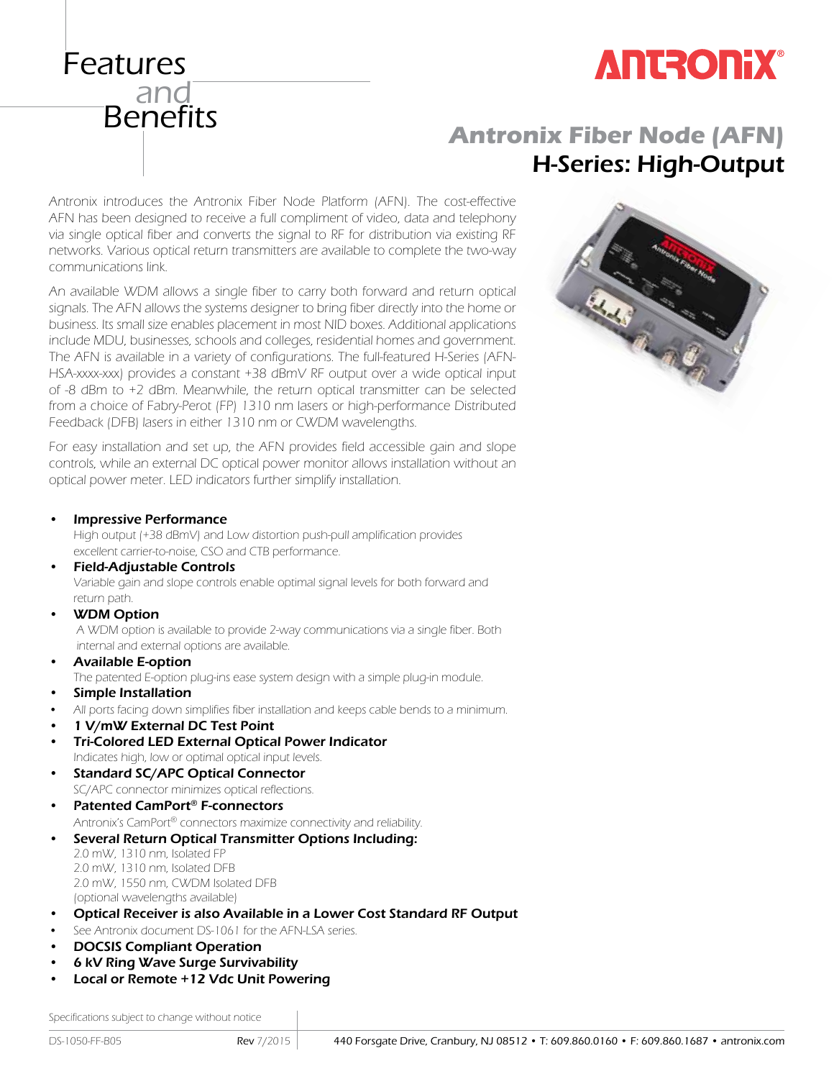

## **Antronix Fiber Node (AFN)** H-Series: High-Output

Antronix introduces the Antronix Fiber Node Platform (AFN). The cost-effective AFN has been designed to receive a full compliment of video, data and telephony via single optical fiber and converts the signal to RF for distribution via existing RF networks. Various optical return transmitters are available to complete the two-way communications link.

An available WDM allows a single fiber to carry both forward and return optical signals. The AFN allows the systems designer to bring fiber directly into the home or business. Its small size enables placement in most NID boxes. Additional applications include MDU, businesses, schools and colleges, residential homes and government. The AFN is available in a variety of configurations. The full-featured H-Series (AFN-HSA-xxxx-xxx) provides a constant +38 dBmV RF output over a wide optical input of -8 dBm to +2 dBm. Meanwhile, the return optical transmitter can be selected from a choice of Fabry-Perot (FP) 1310 nm lasers or high-performance Distributed Feedback (DFB) lasers in either 1310 nm or CWDM wavelengths.

For easy installation and set up, the AFN provides field accessible gain and slope controls, while an external DC optical power monitor allows installation without an optical power meter. LED indicators further simplify installation.



• Impressive Performance

Features

<sub>-</sub><br>and

**Benefits** 

 High output (+38 dBmV) and Low distortion push-pull amplification provides excellent carrier-to-noise, CSO and CTB performance.

- Field-Adjustable Controls Variable gain and slope controls enable optimal signal levels for both forward and return path.
- **WDM Option**

 A WDM option is available to provide 2-way communications via a single fiber. Both internal and external options are available.

• Available E-option

The patented E-option plug-ins ease system design with a simple plug-in module.

- Simple Installation
- All ports facing down simplifies fiber installation and keeps cable bends to a minimum.
- 1 V/mW External DC Test Point
- Tri-Colored LED External Optical Power Indicator Indicates high, low or optimal optical input levels.
- Standard SC/APC Optical Connector SC/APC connector minimizes optical reflections.
- Patented CamPort® F-connectors Antronix's CamPort® connectors maximize connectivity and reliability.
- Several Return Optical Transmitter Options Including: 2.0 mW, 1310 nm, Isolated FP
	- 2.0 mW, 1310 nm, Isolated DFB 2.0 mW, 1550 nm, CWDM Isolated DFB (optional wavelengths available)
- Optical Receiver is also Available in a Lower Cost Standard RF Output
- See Antronix document DS-1061 for the AFN-LSA series.
- DOCSIS Compliant Operation
- 6 kV Ring Wave Surge Survivability
- Local or Remote +12 Vdc Unit Powering

Specifications subject to change without notice